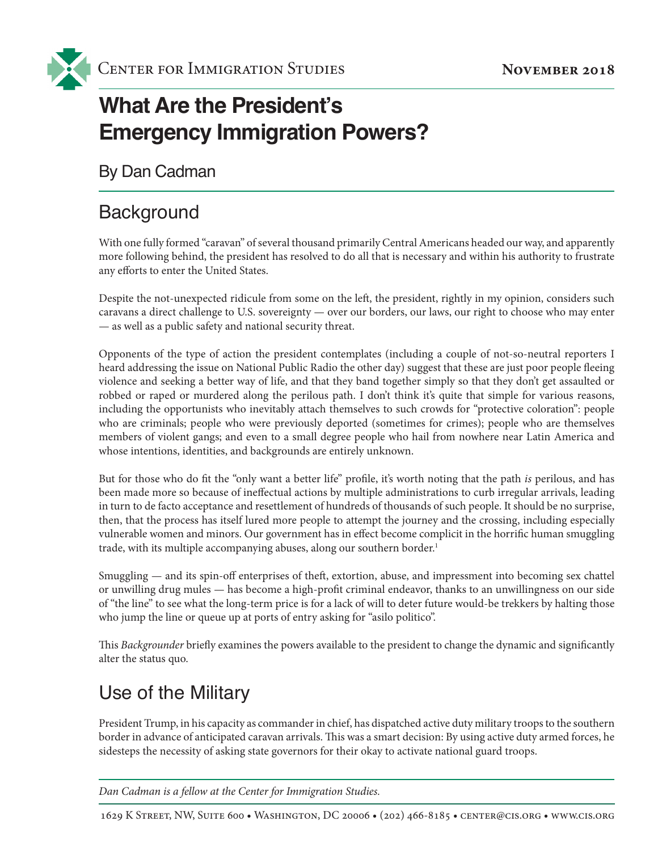

# **What Are the President's Emergency Immigration Powers?**

By Dan Cadman

## **Background**

With one fully formed "caravan" of several thousand primarily Central Americans headed our way, and apparently more following behind, the president has resolved to do all that is necessary and within his authority to frustrate any efforts to enter the United States.

Despite the not-unexpected ridicule from some on the left, the president, rightly in my opinion, considers such caravans a direct challenge to U.S. sovereignty — over our borders, our laws, our right to choose who may enter — as well as a public safety and national security threat.

Opponents of the type of action the president contemplates (including a couple of not-so-neutral reporters I heard addressing the issue on National Public Radio the other day) suggest that these are just poor people fleeing violence and seeking a better way of life, and that they band together simply so that they don't get assaulted or robbed or raped or murdered along the perilous path. I don't think it's quite that simple for various reasons, including the opportunists who inevitably attach themselves to such crowds for "protective coloration": people who are criminals; people who were previously deported (sometimes for crimes); people who are themselves members of violent gangs; and even to a small degree people who hail from nowhere near Latin America and whose intentions, identities, and backgrounds are entirely unknown.

But for those who do fit the "only want a better life" profile, it's worth noting that the path *is* perilous, and has been made more so because of ineffectual actions by multiple administrations to curb irregular arrivals, leading in turn to de facto acceptance and resettlement of hundreds of thousands of such people. It should be no surprise, then, that the process has itself lured more people to attempt the journey and the crossing, including especially vulnerable women and minors. Our government has in effect become complicit in the horrific human smuggling trade, with its multiple accompanying abuses, along our southern border.<sup>1</sup>

Smuggling — and its spin-off enterprises of theft, extortion, abuse, and impressment into becoming sex chattel or unwilling drug mules — has become a high-profit criminal endeavor, thanks to an unwillingness on our side of "the line" to see what the long-term price is for a lack of will to deter future would-be trekkers by halting those who jump the line or queue up at ports of entry asking for "asilo politico".

This *Backgrounder* briefly examines the powers available to the president to change the dynamic and significantly alter the status quo.

# Use of the Military

President Trump, in his capacity as commander in chief, has dispatched active duty military troops to the southern border in advance of anticipated caravan arrivals. This was a smart decision: By using active duty armed forces, he sidesteps the necessity of asking state governors for their okay to activate national guard troops.

*Dan Cadman is a fellow at the Center for Immigration Studies.*

1629 K Street, NW, Suite 600 • Washington, DC 20006 • (202) 466-8185 • center@cis.org • www.cis.org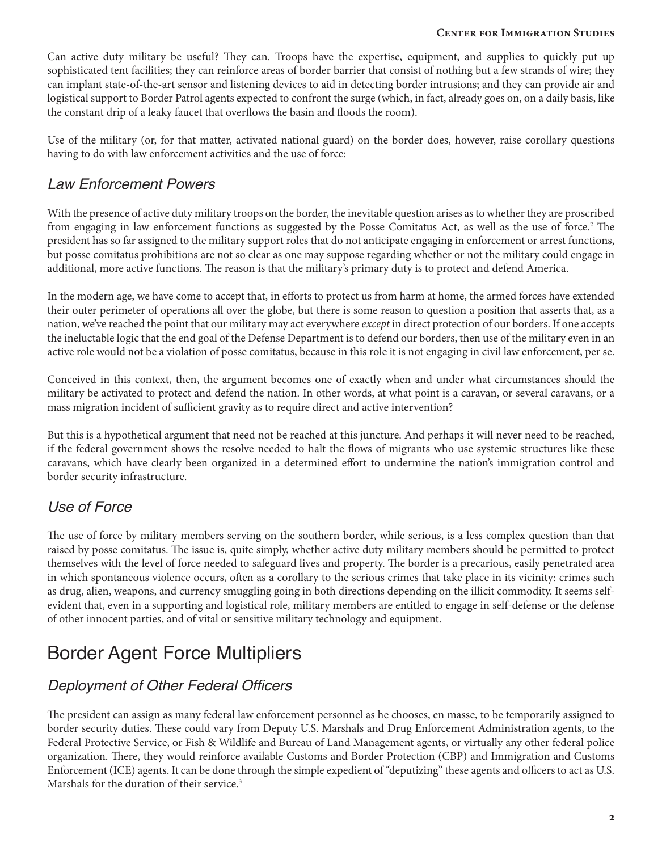### **Center for Immigration Studies Center for Immigration Studies**

Can active duty military be useful? They can. Troops have the expertise, equipment, and supplies to quickly put up sophisticated tent facilities; they can reinforce areas of border barrier that consist of nothing but a few strands of wire; they can implant state-of-the-art sensor and listening devices to aid in detecting border intrusions; and they can provide air and logistical support to Border Patrol agents expected to confront the surge (which, in fact, already goes on, on a daily basis, like the constant drip of a leaky faucet that overflows the basin and floods the room).

Use of the military (or, for that matter, activated national guard) on the border does, however, raise corollary questions having to do with law enforcement activities and the use of force:

## *Law Enforcement Powers*

With the presence of active duty military troops on the border, the inevitable question arises as to whether they are proscribed from engaging in law enforcement functions as suggested by the Posse Comitatus Act, as well as the use of force.2 The president has so far assigned to the military support roles that do not anticipate engaging in enforcement or arrest functions, but posse comitatus prohibitions are not so clear as one may suppose regarding whether or not the military could engage in additional, more active functions. The reason is that the military's primary duty is to protect and defend America.

In the modern age, we have come to accept that, in efforts to protect us from harm at home, the armed forces have extended their outer perimeter of operations all over the globe, but there is some reason to question a position that asserts that, as a nation, we've reached the point that our military may act everywhere *except* in direct protection of our borders. If one accepts the ineluctable logic that the end goal of the Defense Department is to defend our borders, then use of the military even in an active role would not be a violation of posse comitatus, because in this role it is not engaging in civil law enforcement, per se.

Conceived in this context, then, the argument becomes one of exactly when and under what circumstances should the military be activated to protect and defend the nation. In other words, at what point is a caravan, or several caravans, or a mass migration incident of sufficient gravity as to require direct and active intervention?

But this is a hypothetical argument that need not be reached at this juncture. And perhaps it will never need to be reached, if the federal government shows the resolve needed to halt the flows of migrants who use systemic structures like these caravans, which have clearly been organized in a determined effort to undermine the nation's immigration control and border security infrastructure.

## *Use of Force*

The use of force by military members serving on the southern border, while serious, is a less complex question than that raised by posse comitatus. The issue is, quite simply, whether active duty military members should be permitted to protect themselves with the level of force needed to safeguard lives and property. The border is a precarious, easily penetrated area in which spontaneous violence occurs, often as a corollary to the serious crimes that take place in its vicinity: crimes such as drug, alien, weapons, and currency smuggling going in both directions depending on the illicit commodity. It seems selfevident that, even in a supporting and logistical role, military members are entitled to engage in self-defense or the defense of other innocent parties, and of vital or sensitive military technology and equipment.

# Border Agent Force Multipliers

## Deployment of Other Federal Officers

The president can assign as many federal law enforcement personnel as he chooses, en masse, to be temporarily assigned to border security duties. These could vary from Deputy U.S. Marshals and Drug Enforcement Administration agents, to the Federal Protective Service, or Fish & Wildlife and Bureau of Land Management agents, or virtually any other federal police organization. There, they would reinforce available Customs and Border Protection (CBP) and Immigration and Customs Enforcement (ICE) agents. It can be done through the simple expedient of "deputizing" these agents and officers to act as U.S. Marshals for the duration of their service.<sup>3</sup>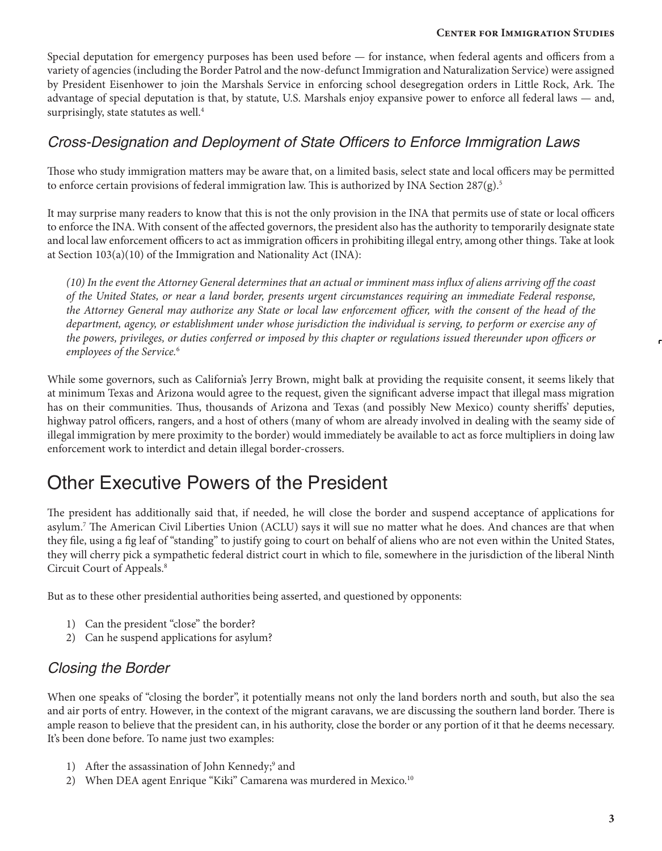### **Center for Immigration Studies**

Special deputation for emergency purposes has been used before — for instance, when federal agents and officers from a variety of agencies (including the Border Patrol and the now-defunct Immigration and Naturalization Service) were assigned by President Eisenhower to join the Marshals Service in enforcing school desegregation orders in Little Rock, Ark. The advantage of special deputation is that, by statute, U.S. Marshals enjoy expansive power to enforce all federal laws — and, surprisingly, state statutes as well.<sup>4</sup>

### Cross-Designation and Deployment of State Officers to Enforce Immigration Laws

Those who study immigration matters may be aware that, on a limited basis, select state and local officers may be permitted to enforce certain provisions of federal immigration law. This is authorized by INA Section 287(g).<sup>5</sup>

It may surprise many readers to know that this is not the only provision in the INA that permits use of state or local officers to enforce the INA. With consent of the affected governors, the president also has the authority to temporarily designate state and local law enforcement officers to act as immigration officers in prohibiting illegal entry, among other things. Take at look at Section 103(a)(10) of the Immigration and Nationality Act (INA):

*(10) In the event the Attorney General determines that an actual or imminent mass influx of aliens arriving off the coast of the United States, or near a land border, presents urgent circumstances requiring an immediate Federal response,*  the Attorney General may authorize any State or local law enforcement officer, with the consent of the head of the *department, agency, or establishment under whose jurisdiction the individual is serving, to perform or exercise any of the powers, privileges, or duties conferred or imposed by this chapter or regulations issued thereunder upon officers or employees of the Service.*<sup>6</sup>

While some governors, such as California's Jerry Brown, might balk at providing the requisite consent, it seems likely that at minimum Texas and Arizona would agree to the request, given the significant adverse impact that illegal mass migration has on their communities. Thus, thousands of Arizona and Texas (and possibly New Mexico) county sheriffs' deputies, highway patrol officers, rangers, and a host of others (many of whom are already involved in dealing with the seamy side of illegal immigration by mere proximity to the border) would immediately be available to act as force multipliers in doing law enforcement work to interdict and detain illegal border-crossers.

## Other Executive Powers of the President

The president has additionally said that, if needed, he will close the border and suspend acceptance of applications for asylum.7 The American Civil Liberties Union (ACLU) says it will sue no matter what he does. And chances are that when they file, using a fig leaf of "standing" to justify going to court on behalf of aliens who are not even within the United States, they will cherry pick a sympathetic federal district court in which to file, somewhere in the jurisdiction of the liberal Ninth Circuit Court of Appeals.8

But as to these other presidential authorities being asserted, and questioned by opponents:

- 1) Can the president "close" the border?
- 2) Can he suspend applications for asylum?

### *Closing the Border*

When one speaks of "closing the border", it potentially means not only the land borders north and south, but also the sea and air ports of entry. However, in the context of the migrant caravans, we are discussing the southern land border. There is ample reason to believe that the president can, in his authority, close the border or any portion of it that he deems necessary. It's been done before. To name just two examples:

- 1) After the assassination of John Kennedy;<sup>9</sup> and
- 2) When DEA agent Enrique "Kiki" Camarena was murdered in Mexico.<sup>10</sup>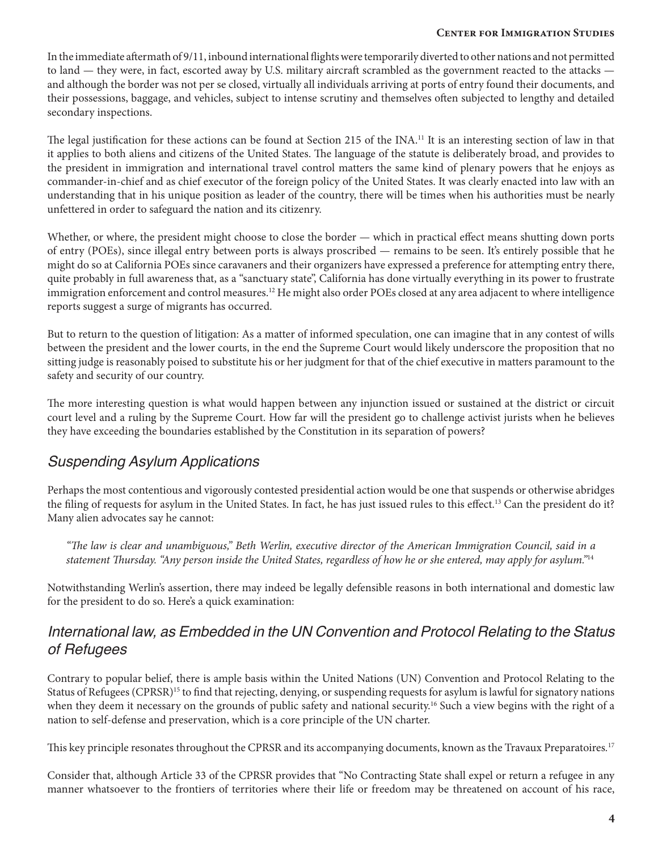### **Center for Immigration Studies Center for Immigration Studies**

In the immediate aftermath of 9/11, inbound international flights were temporarily diverted to other nations and not permitted to land — they were, in fact, escorted away by U.S. military aircraft scrambled as the government reacted to the attacks and although the border was not per se closed, virtually all individuals arriving at ports of entry found their documents, and their possessions, baggage, and vehicles, subject to intense scrutiny and themselves often subjected to lengthy and detailed secondary inspections.

The legal justification for these actions can be found at Section 215 of the INA.<sup>11</sup> It is an interesting section of law in that it applies to both aliens and citizens of the United States. The language of the statute is deliberately broad, and provides to the president in immigration and international travel control matters the same kind of plenary powers that he enjoys as commander-in-chief and as chief executor of the foreign policy of the United States. It was clearly enacted into law with an understanding that in his unique position as leader of the country, there will be times when his authorities must be nearly unfettered in order to safeguard the nation and its citizenry.

Whether, or where, the president might choose to close the border — which in practical effect means shutting down ports of entry (POEs), since illegal entry between ports is always proscribed — remains to be seen. It's entirely possible that he might do so at California POEs since caravaners and their organizers have expressed a preference for attempting entry there, quite probably in full awareness that, as a "sanctuary state", California has done virtually everything in its power to frustrate immigration enforcement and control measures.<sup>12</sup> He might also order POEs closed at any area adjacent to where intelligence reports suggest a surge of migrants has occurred.

But to return to the question of litigation: As a matter of informed speculation, one can imagine that in any contest of wills between the president and the lower courts, in the end the Supreme Court would likely underscore the proposition that no sitting judge is reasonably poised to substitute his or her judgment for that of the chief executive in matters paramount to the safety and security of our country.

The more interesting question is what would happen between any injunction issued or sustained at the district or circuit court level and a ruling by the Supreme Court. How far will the president go to challenge activist jurists when he believes they have exceeding the boundaries established by the Constitution in its separation of powers?

### *Suspending Asylum Applications*

Perhaps the most contentious and vigorously contested presidential action would be one that suspends or otherwise abridges the filing of requests for asylum in the United States. In fact, he has just issued rules to this effect.<sup>13</sup> Can the president do it? Many alien advocates say he cannot:

*"The law is clear and unambiguous," Beth Werlin, executive director of the American Immigration Council, said in a statement Thursday. "Any person inside the United States, regardless of how he or she entered, may apply for asylum."*<sup>14</sup>

Notwithstanding Werlin's assertion, there may indeed be legally defensible reasons in both international and domestic law for the president to do so. Here's a quick examination:

### International law, as Embedded in the UN Convention and Protocol Relating to the Status of Refugees

Contrary to popular belief, there is ample basis within the United Nations (UN) Convention and Protocol Relating to the Status of Refugees (CPRSR)<sup>15</sup> to find that rejecting, denying, or suspending requests for asylum is lawful for signatory nations when they deem it necessary on the grounds of public safety and national security.<sup>16</sup> Such a view begins with the right of a nation to self-defense and preservation, which is a core principle of the UN charter.

This key principle resonates throughout the CPRSR and its accompanying documents, known as the Travaux Preparatoires*.* 17

Consider that, although Article 33 of the CPRSR provides that "No Contracting State shall expel or return a refugee in any manner whatsoever to the frontiers of territories where their life or freedom may be threatened on account of his race,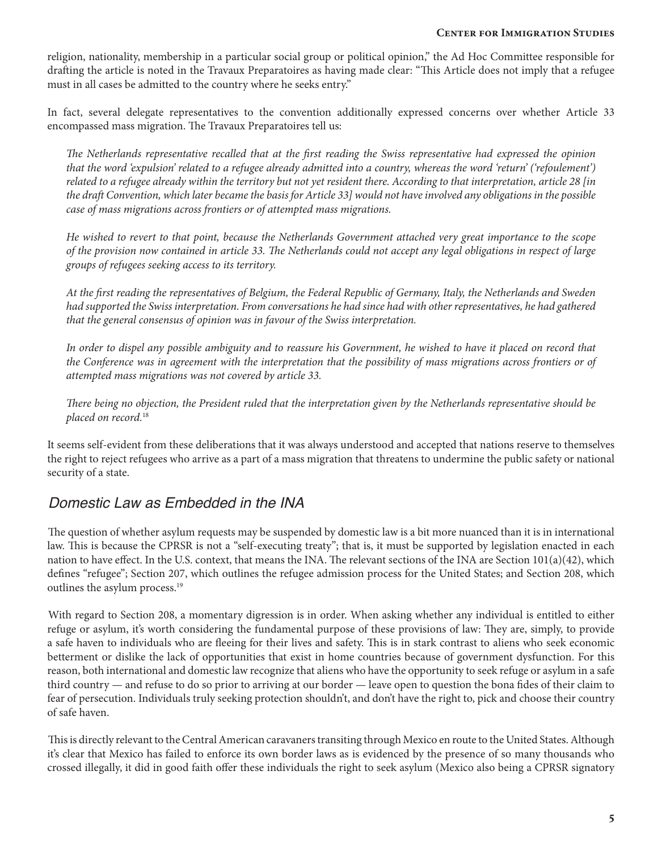religion, nationality, membership in a particular social group or political opinion," the Ad Hoc Committee responsible for drafting the article is noted in the Travaux Preparatoires as having made clear: "This Article does not imply that a refugee must in all cases be admitted to the country where he seeks entry."

In fact, several delegate representatives to the convention additionally expressed concerns over whether Article 33 encompassed mass migration. The Travaux Preparatoires tell us:

*The Netherlands representative recalled that at the first reading the Swiss representative had expressed the opinion that the word 'expulsion' related to a refugee already admitted into a country, whereas the word 'return' ('refoulement') related to a refugee already within the territory but not yet resident there. According to that interpretation, article 28 [in the draft Convention, which later became the basis for Article 33] would not have involved any obligations in the possible case of mass migrations across frontiers or of attempted mass migrations.* 

*He wished to revert to that point, because the Netherlands Government attached very great importance to the scope of the provision now contained in article 33. The Netherlands could not accept any legal obligations in respect of large groups of refugees seeking access to its territory.* 

*At the first reading the representatives of Belgium, the Federal Republic of Germany, Italy, the Netherlands and Sweden had supported the Swiss interpretation. From conversations he had since had with other representatives, he had gathered that the general consensus of opinion was in favour of the Swiss interpretation.* 

In order to dispel any possible ambiguity and to reassure his Government, he wished to have it placed on record that *the Conference was in agreement with the interpretation that the possibility of mass migrations across frontiers or of attempted mass migrations was not covered by article 33.* 

*There being no objection, the President ruled that the interpretation given by the Netherlands representative should be placed on record.*<sup>18</sup>

It seems self-evident from these deliberations that it was always understood and accepted that nations reserve to themselves the right to reject refugees who arrive as a part of a mass migration that threatens to undermine the public safety or national security of a state.

### Domestic Law as Embedded in the INA

The question of whether asylum requests may be suspended by domestic law is a bit more nuanced than it is in international law. This is because the CPRSR is not a "self-executing treaty"; that is, it must be supported by legislation enacted in each nation to have effect. In the U.S. context, that means the INA. The relevant sections of the INA are Section 101(a)(42), which defines "refugee"; Section 207, which outlines the refugee admission process for the United States; and Section 208, which outlines the asylum process.<sup>19</sup>

With regard to Section 208, a momentary digression is in order. When asking whether any individual is entitled to either refuge or asylum, it's worth considering the fundamental purpose of these provisions of law: They are, simply, to provide a safe haven to individuals who are fleeing for their lives and safety. This is in stark contrast to aliens who seek economic betterment or dislike the lack of opportunities that exist in home countries because of government dysfunction. For this reason, both international and domestic law recognize that aliens who have the opportunity to seek refuge or asylum in a safe third country — and refuse to do so prior to arriving at our border — leave open to question the bona fides of their claim to fear of persecution. Individuals truly seeking protection shouldn't, and don't have the right to, pick and choose their country of safe haven.

This is directly relevant to the Central American caravaners transiting through Mexico en route to the United States. Although it's clear that Mexico has failed to enforce its own border laws as is evidenced by the presence of so many thousands who crossed illegally, it did in good faith offer these individuals the right to seek asylum (Mexico also being a CPRSR signatory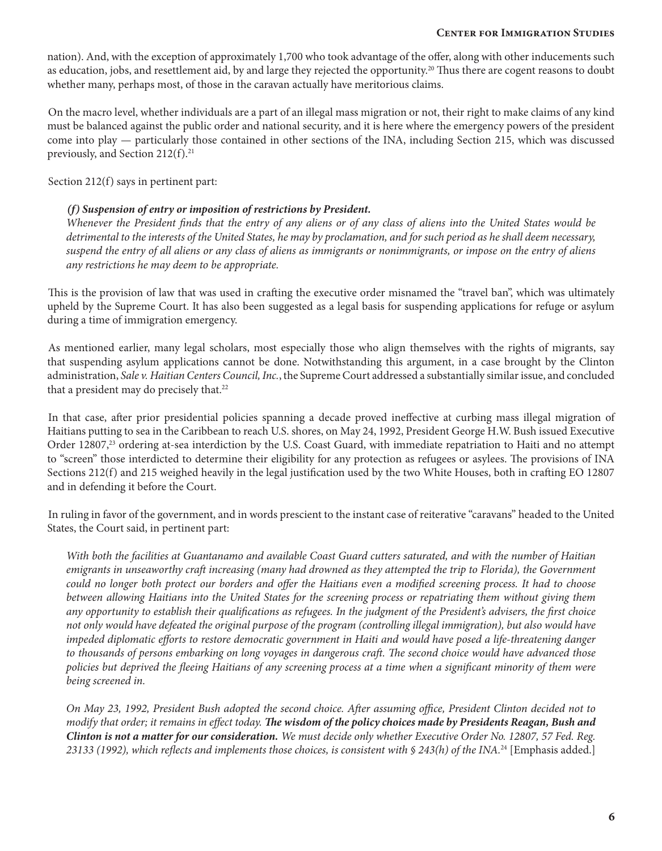nation). And, with the exception of approximately 1,700 who took advantage of the offer, along with other inducements such as education, jobs, and resettlement aid, by and large they rejected the opportunity.20 Thus there are cogent reasons to doubt whether many, perhaps most, of those in the caravan actually have meritorious claims.

On the macro level, whether individuals are a part of an illegal mass migration or not, their right to make claims of any kind must be balanced against the public order and national security, and it is here where the emergency powers of the president come into play — particularly those contained in other sections of the INA, including Section 215, which was discussed previously, and Section  $212(f).^{21}$ 

Section 212(f) says in pertinent part:

### *(f) Suspension of entry or imposition of restrictions by President.*

*Whenever the President finds that the entry of any aliens or of any class of aliens into the United States would be detrimental to the interests of the United States, he may by proclamation, and for such period as he shall deem necessary, suspend the entry of all aliens or any class of aliens as immigrants or nonimmigrants, or impose on the entry of aliens any restrictions he may deem to be appropriate.*

This is the provision of law that was used in crafting the executive order misnamed the "travel ban", which was ultimately upheld by the Supreme Court. It has also been suggested as a legal basis for suspending applications for refuge or asylum during a time of immigration emergency.

As mentioned earlier, many legal scholars, most especially those who align themselves with the rights of migrants, say that suspending asylum applications cannot be done. Notwithstanding this argument, in a case brought by the Clinton administration, *Sale v. Haitian Centers Council, Inc.*, the Supreme Court addressed a substantially similar issue, and concluded that a president may do precisely that.<sup>22</sup>

In that case, after prior presidential policies spanning a decade proved ineffective at curbing mass illegal migration of Haitians putting to sea in the Caribbean to reach U.S. shores, on May 24, 1992, President George H.W. Bush issued Executive Order 12807,<sup>23</sup> ordering at-sea interdiction by the U.S. Coast Guard, with immediate repatriation to Haiti and no attempt to "screen" those interdicted to determine their eligibility for any protection as refugees or asylees. The provisions of INA Sections 212(f) and 215 weighed heavily in the legal justification used by the two White Houses, both in crafting EO 12807 and in defending it before the Court.

In ruling in favor of the government, and in words prescient to the instant case of reiterative "caravans" headed to the United States, the Court said, in pertinent part:

*With both the facilities at Guantanamo and available Coast Guard cutters saturated, and with the number of Haitian emigrants in unseaworthy craft increasing (many had drowned as they attempted the trip to Florida), the Government could no longer both protect our borders and offer the Haitians even a modified screening process. It had to choose between allowing Haitians into the United States for the screening process or repatriating them without giving them any opportunity to establish their qualifications as refugees. In the judgment of the President's advisers, the first choice not only would have defeated the original purpose of the program (controlling illegal immigration), but also would have impeded diplomatic efforts to restore democratic government in Haiti and would have posed a life-threatening danger*  to thousands of persons embarking on long voyages in dangerous craft. The second choice would have advanced those *policies but deprived the fleeing Haitians of any screening process at a time when a significant minority of them were being screened in.* 

*On May 23, 1992, President Bush adopted the second choice. After assuming office, President Clinton decided not to modify that order; it remains in effect today. The wisdom of the policy choices made by Presidents Reagan, Bush and Clinton is not a matter for our consideration. We must decide only whether Executive Order No. 12807, 57 Fed. Reg. 23133 (1992), which reflects and implements those choices, is consistent with § 243(h) of the INA.*<sup>24</sup> [Emphasis added.]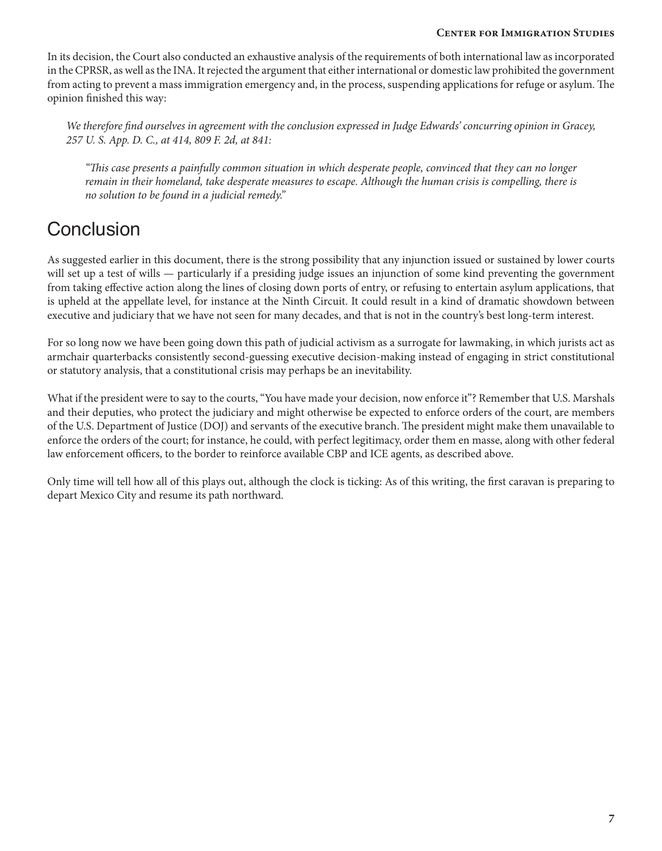#### **Center for Immigration Studies**

In its decision, the Court also conducted an exhaustive analysis of the requirements of both international law as incorporated in the CPRSR, as well as the INA. It rejected the argument that either international or domestic law prohibited the government from acting to prevent a mass immigration emergency and, in the process, suspending applications for refuge or asylum. The opinion finished this way:

*We therefore find ourselves in agreement with the conclusion expressed in Judge Edwards' concurring opinion in Gracey, 257 U. S. App. D. C., at 414, 809 F. 2d, at 841:*

*"This case presents a painfully common situation in which desperate people, convinced that they can no longer remain in their homeland, take desperate measures to escape. Although the human crisis is compelling, there is no solution to be found in a judicial remedy."*

# **Conclusion**

As suggested earlier in this document, there is the strong possibility that any injunction issued or sustained by lower courts will set up a test of wills — particularly if a presiding judge issues an injunction of some kind preventing the government from taking effective action along the lines of closing down ports of entry, or refusing to entertain asylum applications, that is upheld at the appellate level, for instance at the Ninth Circuit. It could result in a kind of dramatic showdown between executive and judiciary that we have not seen for many decades, and that is not in the country's best long-term interest.

For so long now we have been going down this path of judicial activism as a surrogate for lawmaking, in which jurists act as armchair quarterbacks consistently second-guessing executive decision-making instead of engaging in strict constitutional or statutory analysis, that a constitutional crisis may perhaps be an inevitability.

What if the president were to say to the courts, "You have made your decision, now enforce it"? Remember that U.S. Marshals and their deputies, who protect the judiciary and might otherwise be expected to enforce orders of the court, are members of the U.S. Department of Justice (DOJ) and servants of the executive branch. The president might make them unavailable to enforce the orders of the court; for instance, he could, with perfect legitimacy, order them en masse, along with other federal law enforcement officers, to the border to reinforce available CBP and ICE agents, as described above.

Only time will tell how all of this plays out, although the clock is ticking: As of this writing, the first caravan is preparing to depart Mexico City and resume its path northward.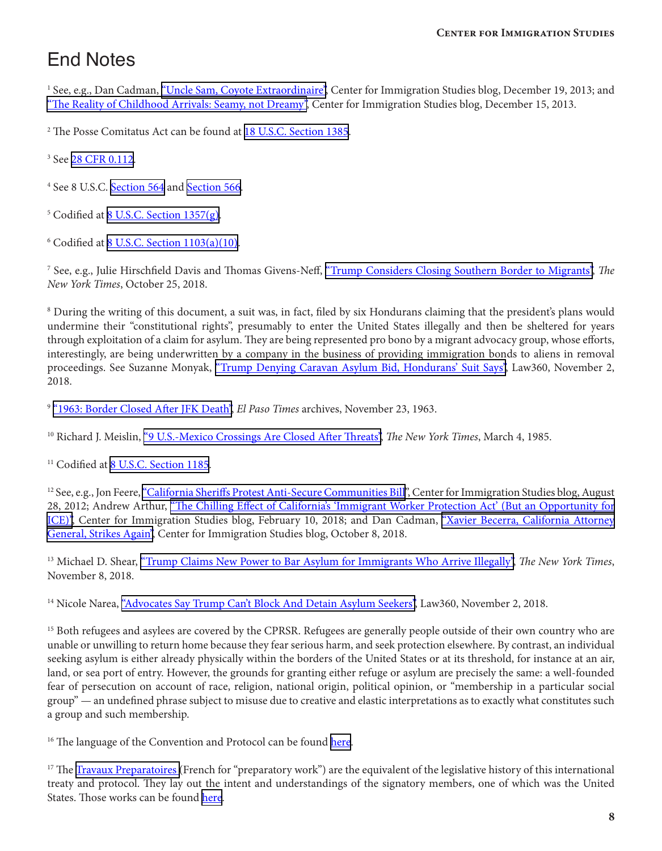# End Notes

<sup>1</sup> See, e.g., Dan Cadman, <u>["Uncle Sam, Coyote Extraordinaire",](https://cis.org/Cadman/Uncle-Sam-Coyote-Extraordinaire)</u> Center for Immigration Studies blog, December 19, 2013; and ["The Reality of Childhood Arrivals: Seamy, not Dreamy",](https://www.cis.org/Cadman/Reality-Childhood-Arrivals-Seamy-not-Dreamy) Center for Immigration Studies blog, December 15, 2013.

<sup>2</sup> The Posse Comitatus Act can be found at <u>18 U.S.C. Section 1385</u>.

<sup>3</sup> See <u>28 CFR 0.112</u>.

<sup>4</sup> See 8 U.S.C. <u>Section 564</u> and <u>Section 566</u>.

<sup>5</sup> Codified at <u>8 U.S.C. Section 1357(g)</u>.

 $6$  Codified at  $8$  U.S.C. Section  $1103(a)(10)$ .

7 See, e.g., Julie Hirschfield Davis and Thomas Givens-Neff, ["Trump Considers Closing Southern Border to Migrants",](https://www.nytimes.com/2018/10/25/us/politics/trump-army-border-mexico.html) *The New York Times*, October 25, 2018.

<sup>8</sup> During the writing of this document, a suit was, in fact, filed by six Hondurans claiming that the president's plans would undermine their "constitutional rights", presumably to enter the United States illegally and then be sheltered for years through exploitation of a claim for asylum. They are being represented pro bono by a migrant advocacy group, whose efforts, interestingly, are being underwritten by a company in the business of providing immigration bonds to aliens in removal proceedings. See Suzanne Monyak, ["Trump Denying Caravan Asylum Bid, Hondurans' Suit Says"](https://www.law360.com/immigration/articles/1097866/trump-denying-caravan-asylum-bid-hondurans-suit-says?nl_pk=54639b80-945c-48d1-aaff-205fd20f4440&utm_source=newsletter&utm_medium=email&utm_campaign=immigration), Law360, November 2, 2018.

<sup>9</sup> ["1963: Border Closed After JFK Death"](https://elpasotimes.typepad.com/morgue/2012/02/1963-border-closed-after-jfk-death.html), *El Paso Times* archives, November 23, 1963.

10 Richard J. Meislin, ["9 U.S.-Mexico Crossings Are Closed After Threats"](https://www.nytimes.com/1985/03/04/world/9-us-mexico-crossings-are-closed-after-threats.html), *The New York Times*, March 4, 1985.

<sup>11</sup> Codified at [8 U.S.C. Section 1185.](https://www.law.cornell.edu/uscode/text/8/1185)

<sup>12</sup> See, e.g., Jon Feere, ["California Sheriffs Protest Anti-Secure Communities Bill](https://cis.org/Feere/California-Sheriffs-Protest-AntiSecure-Communities-Bill)", Center for Immigration Studies blog, August 28, 2012; Andrew Arthur, ["The Chilling Effect of California's 'Immigrant Worker Protection Act' \(But an Opportunity for](https://cis.org/Arthur/Chilling-Effect-Californias-Immigrant-Worker-Protection-Act-Opportunity-ICE) [ICE\)",](https://cis.org/Arthur/Chilling-Effect-Californias-Immigrant-Worker-Protection-Act-Opportunity-ICE) Center for Immigration Studies blog, February 10, 2018; and Dan Cadman, ["Xavier Becerra, California Attorney](https://cis.org/Cadman/Xavier-Becerra-California-Attorney-General-Strikes-Again) [General, Strikes Again"](https://cis.org/Cadman/Xavier-Becerra-California-Attorney-General-Strikes-Again), Center for Immigration Studies blog, October 8, 2018.

<sup>13</sup> Michael D. Shear, ["Trump Claims New Power to Bar Asylum for Immigrants Who Arrive Illegally",](https://www.nytimes.com/2018/11/08/us/politics/trump-asylum-seekers-executive-order.html) The New York Times, November 8, 2018.

<sup>14</sup> Nicole Narea, ["Advocates Say Trump Can't Block And Detain Asylum Seekers",](https://www.law360.com/immigration/articles/1098400/advocates-say-trump-can-t-block-and-detain-asylum-seekers?nl_pk=54639b80-945c-48d1-aaff-205fd20f4440&utm_source=newsletter&utm_medium=email&utm_campaign=immigration) Law360, November 2, 2018.

<sup>15</sup> Both refugees and asylees are covered by the CPRSR. Refugees are generally people outside of their own country who are unable or unwilling to return home because they fear serious harm, and seek protection elsewhere. By contrast, an individual seeking asylum is either already physically within the borders of the United States or at its threshold, for instance at an air, land, or sea port of entry. However, the grounds for granting either refuge or asylum are precisely the same: a well-founded fear of persecution on account of race, religion, national origin, political opinion, or "membership in a particular social group" — an undefined phrase subject to misuse due to creative and elastic interpretations as to exactly what constitutes such a group and such membership.

<sup>16</sup> The language of the Convention and Protocol can be found [here.](http://www.unhcr.org/3b66c2aa10.html)

<sup>17</sup> The [Travaux Preparatoires](http://www.unhcr.org/4ca34be29.html) (French for "preparatory work") are the equivalent of the legislative history of this international treaty and protocol. They lay out the intent and understandings of the signatory members, one of which was the United States. Those works can be found [here](http://www.unhcr.org/4ca34be29.html).